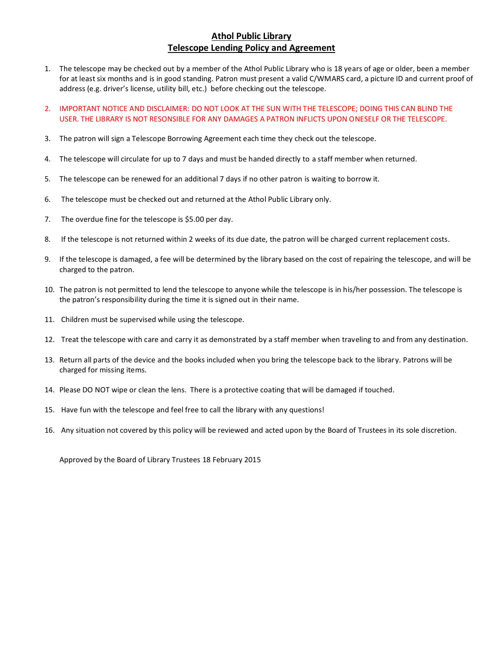# **Athol Public Library Telescope Lending Policy and Agreement**

- 1. The telescope may be checked out by a member of the Athol Public Library who is 18 years of age or older, been a member for at least six months and is in good standing. Patron must present a valid C/WMARS card, a picture ID and current proof of address (e.g. driver's license, utility bill, etc.) before checking out the telescope.
- 2. IMPORTANT NOTICE AND DISCLAIMER: DO NOT LOOK AT THE SUN WITH THE TELESCOPE; DOING THIS CAN BLIND THE USER. THE LIBRARY IS NOT RESONSIBLE FOR ANY DAMAGES A PATRON INFLICTS UPON ONESELF OR THE TELESCOPE.
- 3. The patron will sign a Telescope Borrowing Agreement each time they check out the telescope.
- 4. The telescope will circulate for up to 7 days and must be handed directly to a staff member when returned.
- 5. The telescope can be renewed for an additional 7 days if no other patron is waiting to borrow it.
- 6. The telescope must be checked out and returned at the Athol Public Library only.
- 7. The overdue fine for the telescope is \$5.00 per day.
- 8. If the telescope is not returned within 2 weeks of its due date, the patron will be charged current replacement costs.
- 9. If the telescope is damaged, a fee will be determined by the library based on the cost of repairing the telescope, and will be charged to the patron.
- 10. The patron is not permitted to lend the telescope to anyone while the telescope is in his/her possession. The telescope is the patron's responsibility during the time it is signed out in their name.
- 11. Children must be supervised while using the telescope.
- 12. Treat the telescope with care and carry it as demonstrated by a staff member when traveling to and from any destination.
- 13. Return all parts of the device and the books included when you bring the telescope back to the library. Patrons will be charged for missing items.
- 14. Please DO NOT wipe or clean the lens. There is a protective coating that will be damaged if touched.
- 15. Have fun with the telescope and feel free to call the library with any questions!
- 16. Any situation not covered by this policy will be reviewed and acted upon by the Board of Trustees in its sole discretion.

Approved by the Board of Library Trustees 18 February 2015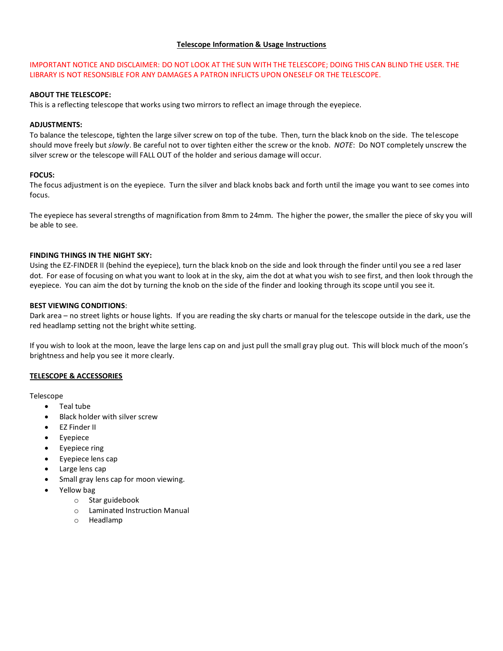### **Telescope Information & Usage Instructions**

## IMPORTANT NOTICE AND DISCLAIMER: DO NOT LOOK AT THE SUN WITH THE TELESCOPE; DOING THIS CAN BLIND THE USER. THE LIBRARY IS NOT RESONSIBLE FOR ANY DAMAGES A PATRON INFLICTS UPON ONESELF OR THE TELESCOPE.

## **ABOUT THE TELESCOPE:**

This is a reflecting telescope that works using two mirrors to reflect an image through the eyepiece.

### **ADJUSTMENTS:**

To balance the telescope, tighten the large silver screw on top of the tube. Then, turn the black knob on the side. The telescope should move freely but *slowly*. Be careful not to over tighten either the screw or the knob. *NOTE*: Do NOT completely unscrew the silver screw or the telescope will FALL OUT of the holder and serious damage will occur.

### **FOCUS:**

The focus adjustment is on the eyepiece. Turn the silver and black knobs back and forth until the image you want to see comes into focus.

The eyepiece has several strengths of magnification from 8mm to 24mm. The higher the power, the smaller the piece of sky you will be able to see.

### **FINDING THINGS IN THE NIGHT SKY:**

Using the EZ-FINDER II (behind the eyepiece), turn the black knob on the side and look through the finder until you see a red laser dot. For ease of focusing on what you want to look at in the sky, aim the dot at what you wish to see first, and then look through the eyepiece. You can aim the dot by turning the knob on the side of the finder and looking through its scope until you see it.

### **BEST VIEWING CONDITIONS**:

Dark area – no street lights or house lights. If you are reading the sky charts or manual for the telescope outside in the dark, use the red headlamp setting not the bright white setting.

If you wish to look at the moon, leave the large lens cap on and just pull the small gray plug out. This will block much of the moon's brightness and help you see it more clearly.

#### **TELESCOPE & ACCESSORIES**

Telescope

- Teal tube
- Black holder with silver screw
- EZ Finder II
- Eyepiece
- Eyepiece ring
- Eyepiece lens cap
- Large lens cap
- Small gray lens cap for moon viewing.
- Yellow bag
	- o Star guidebook
	- o Laminated Instruction Manual
	- o Headlamp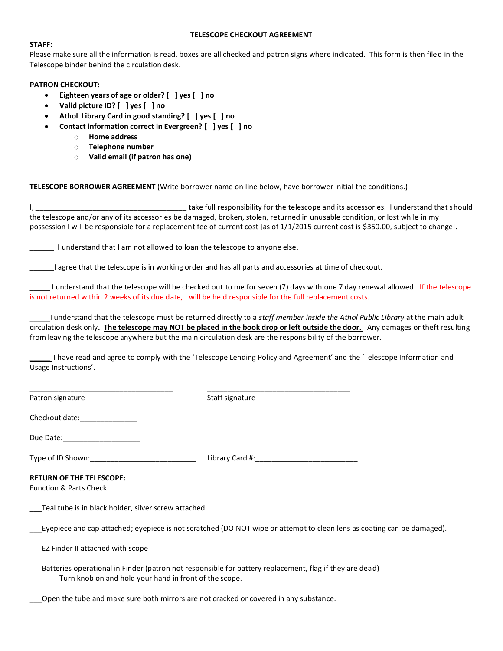### **TELESCOPE CHECKOUT AGREEMENT**

### **STAFF:**

Please make sure all the information is read, boxes are all checked and patron signs where indicated. This form is then filed in the Telescope binder behind the circulation desk.

## **PATRON CHECKOUT:**

- **Eighteen years of age or older? [ ] yes [ ] no**
- **Valid picture ID? [ ] yes [ ] no**
- **Athol Library Card in good standing? [ ] yes [ ] no**
- **Contact information correct in Evergreen? [ ] yes [ ] no**
	- o **Home address**
	- o **Telephone number**
	- o **Valid email (if patron has one)**

**TELESCOPE BORROWER AGREEMENT** (Write borrower name on line below, have borrower initial the conditions.)

I, \_\_\_\_\_\_\_\_\_\_\_\_\_\_\_\_\_\_\_\_\_\_\_\_\_\_\_\_\_\_\_\_\_\_\_\_\_ take full responsibility for the telescope and its accessories. I understand that should the telescope and/or any of its accessories be damaged, broken, stolen, returned in unusable condition, or lost while in my possession I will be responsible for a replacement fee of current cost [as of 1/1/2015 current cost is \$350.00, subject to change].

\_\_\_\_\_\_ I understand that I am not allowed to loan the telescope to anyone else.

\_\_\_\_\_\_I agree that the telescope is in working order and has all parts and accessories at time of checkout.

\_\_\_\_\_ I understand that the telescope will be checked out to me for seven (7) days with one 7 day renewal allowed. If the telescope is not returned within 2 weeks of its due date, I will be held responsible for the full replacement costs.

\_\_\_\_\_I understand that the telescope must be returned directly to a *staff member inside the Athol Public Library* at the main adult circulation desk only**. The telescope may NOT be placed in the book drop or left outside the door.** Any damages or theft resulting from leaving the telescope anywhere but the main circulation desk are the responsibility of the borrower.

**\_\_\_\_\_** I have read and agree to comply with the 'Telescope Lending Policy and Agreement' and the 'Telescope Information and Usage Instructions'.

Patron signature and staff signature Staff signature

\_\_\_\_\_\_\_\_\_\_\_\_\_\_\_\_\_\_\_\_\_\_\_\_\_\_\_\_\_\_\_\_\_\_\_ \_\_\_\_\_\_\_\_\_\_\_\_\_\_\_\_\_\_\_\_\_\_\_\_\_\_\_\_\_\_\_\_\_\_\_

Checkout date:

Due Date:

Type of ID Shown:\_\_\_\_\_\_\_\_\_\_\_\_\_\_\_\_\_\_\_\_\_\_\_\_\_\_ Library Card #:\_\_\_\_\_\_\_\_\_\_\_\_\_\_\_\_\_\_\_\_\_\_\_\_\_

## **RETURN OF THE TELESCOPE:**

Function & Parts Check

Teal tube is in black holder, silver screw attached.

\_\_\_Eyepiece and cap attached; eyepiece is not scratched (DO NOT wipe or attempt to clean lens as coating can be damaged).

\_\_\_EZ Finder II attached with scope

Batteries operational in Finder (patron not responsible for battery replacement, flag if they are dead) Turn knob on and hold your hand in front of the scope.

\_\_\_Open the tube and make sure both mirrors are not cracked or covered in any substance.